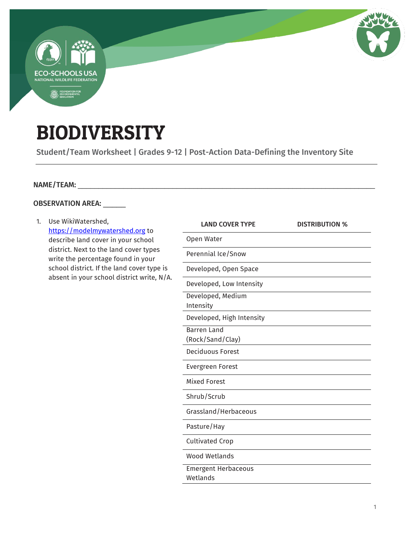

## BIODIVERSITY

Student/Team Worksheet | Grades 9-12 | Post-Action Data-Defining the Inventory Site

## NAME/TEAM: \_\_\_\_\_\_\_\_\_\_\_\_\_\_\_\_\_\_\_\_\_\_\_\_\_\_\_\_\_\_\_\_\_\_\_\_\_\_\_\_\_\_\_\_\_\_\_\_\_\_\_\_\_\_\_\_\_\_\_\_\_\_\_\_\_\_\_\_\_\_\_\_

## OBSERVATION AREA: \_\_\_\_\_

| 1. | Use WikiWatershed,<br>https://modelmywatershed.org to<br>describe land cover in your school<br>district. Next to the land cover types<br>write the percentage found in your<br>school district. If the land cover type is<br>absent in your school district write, N/A. | <b>LAND COVER TYPE</b>                 | <b>DISTRIBUTION %</b> |
|----|-------------------------------------------------------------------------------------------------------------------------------------------------------------------------------------------------------------------------------------------------------------------------|----------------------------------------|-----------------------|
|    |                                                                                                                                                                                                                                                                         | Open Water                             |                       |
|    |                                                                                                                                                                                                                                                                         | Perennial Ice/Snow                     |                       |
|    |                                                                                                                                                                                                                                                                         | Developed, Open Space                  |                       |
|    |                                                                                                                                                                                                                                                                         | Developed, Low Intensity               |                       |
|    |                                                                                                                                                                                                                                                                         | Developed, Medium<br>Intensity         |                       |
|    |                                                                                                                                                                                                                                                                         | Developed, High Intensity              |                       |
|    |                                                                                                                                                                                                                                                                         | <b>Barren Land</b><br>(Rock/Sand/Clay) |                       |
|    |                                                                                                                                                                                                                                                                         | Deciduous Forest                       |                       |
|    |                                                                                                                                                                                                                                                                         | Evergreen Forest                       |                       |
|    |                                                                                                                                                                                                                                                                         | <b>Mixed Forest</b>                    |                       |
|    |                                                                                                                                                                                                                                                                         | Shrub/Scrub                            |                       |
|    |                                                                                                                                                                                                                                                                         | Grassland/Herbaceous                   |                       |
|    |                                                                                                                                                                                                                                                                         | Pasture/Hay                            |                       |
|    |                                                                                                                                                                                                                                                                         | <b>Cultivated Crop</b>                 |                       |
|    |                                                                                                                                                                                                                                                                         | <b>Wood Wetlands</b>                   |                       |
|    |                                                                                                                                                                                                                                                                         | <b>Emergent Herbaceous</b>             |                       |